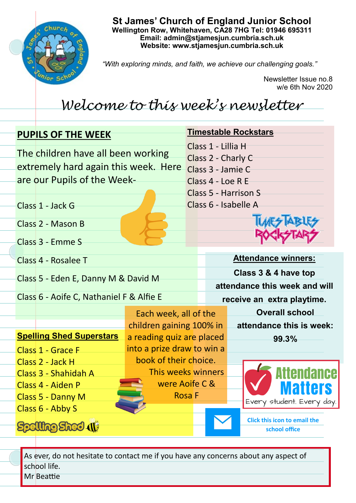

**St James' Church of England Junior School Wellington Row, Whitehaven, CA28 7HG Tel: 01946 695311 Email: admin@stjamesjun.cumbria.sch.uk Website: www.stjamesjun.cumbria.sch.uk**

*"With exploring minds, and faith, we achieve our challenging goals."*

Newsletter Issue no.8 w/e 6th Nov 2020

## *Welcome to this week's newsletter*

| <b>PUPILS OF THE WEEK</b>                                                  |                                                   |  | <b>Timestable Rockstars</b>                         |  |                                                      |  |
|----------------------------------------------------------------------------|---------------------------------------------------|--|-----------------------------------------------------|--|------------------------------------------------------|--|
| The children have all been working<br>extremely hard again this week. Here |                                                   |  | Class 1 - Lillia H<br>Class 2 - Charly C            |  |                                                      |  |
| are our Pupils of the Week-                                                |                                                   |  | Class 3 - Jamie C<br>Class 4 - Loe R E              |  |                                                      |  |
|                                                                            |                                                   |  | Class 5 - Harrison S                                |  |                                                      |  |
| Class 1 - Jack G                                                           |                                                   |  | Class 6 - Isabelle A                                |  |                                                      |  |
| Class 2 - Mason B                                                          |                                                   |  |                                                     |  |                                                      |  |
| Class 3 - Emme S                                                           |                                                   |  |                                                     |  |                                                      |  |
| Class 4 - Rosalee T                                                        |                                                   |  | <b>Attendance winners:</b>                          |  |                                                      |  |
| Class 5 - Eden E, Danny M & David M                                        |                                                   |  | Class 3 & 4 have top                                |  |                                                      |  |
| Class 6 - Aoife C, Nathaniel F & Alfie E                                   |                                                   |  | attendance this week and will                       |  |                                                      |  |
|                                                                            |                                                   |  | receive an extra playtime.<br><b>Overall school</b> |  |                                                      |  |
|                                                                            | Each week, all of the<br>children gaining 100% in |  |                                                     |  | attendance this is week:                             |  |
| <b>Spelling Shed Superstars</b>                                            | a reading quiz are placed                         |  |                                                     |  | 99.3%                                                |  |
| <b>Class 1 - Grace F</b>                                                   | into a prize draw to win a                        |  |                                                     |  |                                                      |  |
| Class 2 - Jack H                                                           | book of their choice.                             |  |                                                     |  |                                                      |  |
| Class 3 - Shahidah A                                                       | This weeks winners                                |  |                                                     |  | Attendance                                           |  |
| Class 4 - Aiden P                                                          | were Aoife C &                                    |  |                                                     |  | Matters                                              |  |
| Class 5 - Danny M                                                          | <b>Rosa</b> F                                     |  |                                                     |  | Every student. Every day.                            |  |
| Class 6 - Abby S                                                           |                                                   |  |                                                     |  | <b>Click this icon to email the</b><br>school office |  |

As ever, do not hesitate to contact me if you have any concerns about any aspect of school life. Mr Beattie